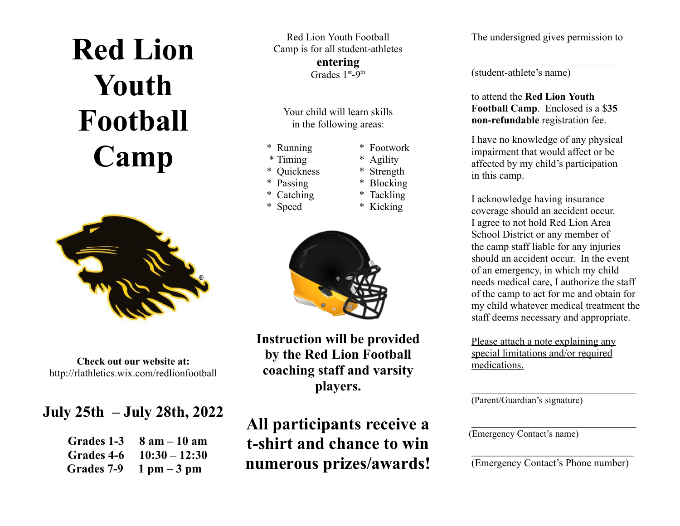# **Red Lion Youth Football Camp**



**Check out our website at:** http://rlathletics.wix.com/redlionfootball

### **July 25th – July 28th, 2022**

| Grades 1-3 | $8$ am $-10$ am |
|------------|-----------------|
| Grades 4-6 | $10:30 - 12:30$ |
| Grades 7-9 | $1$ pm $-3$ pm  |

Red Lion Youth Football Camp is for all student-athletes **entering** Grades 1<sup>st</sup>-9<sup>th</sup>

Your child will learn skills in the following areas:

- \* Running \* Footwork
- \* Timing \* Agility
- \* Quickness \* Strength
- \* Passing \* Blocking
- \* Catching \* Tackling
- \* Speed \* Kicking



**Instruction will be provided by the Red Lion Football coaching staff and varsity players.**

### **All participants receive a t-shirt and chance to win numerous prizes/awards!**

The undersigned gives permission to

(student-athlete's name)

to attend the **Red Lion Youth Football Camp**. Enclosed is a \$**35 non-refundable** registration fee.

I have no knowledge of any physical impairment that would affect or be affected by my child's participation in this camp.

I acknowledge having insurance coverage should an accident occur. I agree to not hold Red Lion Area School District or any member of the camp staff liable for any injuries should an accident occur. In the event of an emergency, in which my child needs medical care, I authorize the staff of the camp to act for me and obtain for my child whatever medical treatment the staff deems necessary and appropriate.

Please attach a note explaining any special limitations and/or required medications.

(Parent/Guardian's signature)

(Emergency Contact's name)

(Emergency Contact's Phone number)